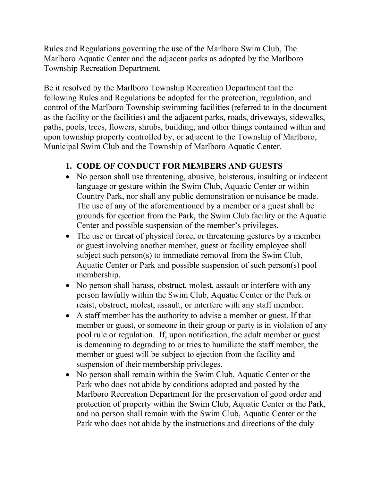Rules and Regulations governing the use of the Marlboro Swim Club, The Marlboro Aquatic Center and the adjacent parks as adopted by the Marlboro Township Recreation Department.

Be it resolved by the Marlboro Township Recreation Department that the following Rules and Regulations be adopted for the protection, regulation, and control of the Marlboro Township swimming facilities (referred to in the document as the facility or the facilities) and the adjacent parks, roads, driveways, sidewalks, paths, pools, trees, flowers, shrubs, building, and other things contained within and upon township property controlled by, or adjacent to the Township of Marlboro, Municipal Swim Club and the Township of Marlboro Aquatic Center.

## **1. CODE OF CONDUCT FOR MEMBERS AND GUESTS**

- No person shall use threatening, abusive, boisterous, insulting or indecent language or gesture within the Swim Club, Aquatic Center or within Country Park, nor shall any public demonstration or nuisance be made. The use of any of the aforementioned by a member or a guest shall be grounds for ejection from the Park, the Swim Club facility or the Aquatic Center and possible suspension of the member's privileges.
- The use or threat of physical force, or threatening gestures by a member or guest involving another member, guest or facility employee shall subject such person(s) to immediate removal from the Swim Club, Aquatic Center or Park and possible suspension of such person(s) pool membership.
- No person shall harass, obstruct, molest, assault or interfere with any person lawfully within the Swim Club, Aquatic Center or the Park or resist, obstruct, molest, assault, or interfere with any staff member.
- A staff member has the authority to advise a member or guest. If that member or guest, or someone in their group or party is in violation of any pool rule or regulation. If, upon notification, the adult member or guest is demeaning to degrading to or tries to humiliate the staff member, the member or guest will be subject to ejection from the facility and suspension of their membership privileges.
- No person shall remain within the Swim Club, Aquatic Center or the Park who does not abide by conditions adopted and posted by the Marlboro Recreation Department for the preservation of good order and protection of property within the Swim Club, Aquatic Center or the Park, and no person shall remain with the Swim Club, Aquatic Center or the Park who does not abide by the instructions and directions of the duly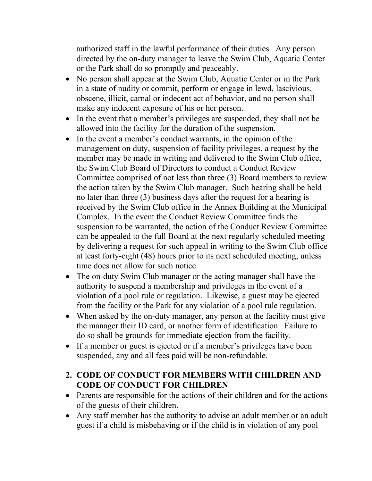authorized staff in the lawful performance of their duties. Any person directed by the on-duty manager to leave the Swim Club, Aquatic Center or the Park shall do so promptly and peaceably.

- No person shall appear at the Swim Club, Aquatic Center or in the Park in a state of nudity or commit, perform or engage in lewd, lascivious, obscene, illicit, carnal or indecent act of behavior, and no person shall make any indecent exposure of his or her person.
- In the event that a member's privileges are suspended, they shall not be allowed into the facility for the duration of the suspension.
- In the event a member's conduct warrants, in the opinion of the management on duty, suspension of facility privileges, a request by the member may be made in writing and delivered to the Swim Club office, the Swim Club Board of Directors to conduct a Conduct Review Committee comprised of not less than three (3) Board members to review the action taken by the Swim Club manager. Such hearing shall be held no later than three (3) business days after the request for a hearing is received by the Swim Club office in the Annex Building at the Municipal Complex. In the event the Conduct Review Committee finds the suspension to be warranted, the action of the Conduct Review Committee can be appealed to the full Board at the next regularly scheduled meeting by delivering a request for such appeal in writing to the Swim Club office at least forty-eight (48) hours prior to its next scheduled meeting, unless time does not allow for such notice.
- The on-duty Swim Club manager or the acting manager shall have the authority to suspend a membership and privileges in the event of a violation of a pool rule or regulation. Likewise, a guest may be ejected from the facility or the Park for any violation of a pool rule regulation.
- When asked by the on-duty manager, any person at the facility must give the manager their ID card, or another form of identification. Failure to do so shall be grounds for immediate ejection from the facility.
- If a member or guest is ejected or if a member's privileges have been suspended, any and all fees paid will be non-refundable.

### **2. CODE OF CONDUCT FOR MEMBERS WITH CHILDREN AND CODE OF CONDUCT FOR CHILDREN**

- Parents are responsible for the actions of their children and for the actions of the guests of their children.
- Any staff member has the authority to advise an adult member or an adult guest if a child is misbehaving or if the child is in violation of any pool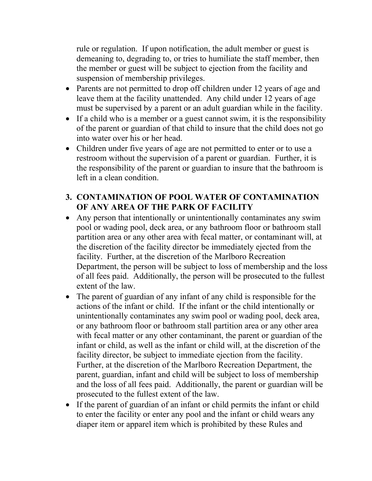rule or regulation. If upon notification, the adult member or guest is demeaning to, degrading to, or tries to humiliate the staff member, then the member or guest will be subject to ejection from the facility and suspension of membership privileges.

- Parents are not permitted to drop off children under 12 years of age and leave them at the facility unattended. Any child under 12 years of age must be supervised by a parent or an adult guardian while in the facility.
- If a child who is a member or a guest cannot swim, it is the responsibility of the parent or guardian of that child to insure that the child does not go into water over his or her head.
- Children under five years of age are not permitted to enter or to use a restroom without the supervision of a parent or guardian. Further, it is the responsibility of the parent or guardian to insure that the bathroom is left in a clean condition.

### **3. CONTAMINATION OF POOL WATER OF CONTAMINATION OF ANY AREA OF THE PARK OF FACILITY**

- Any person that intentionally or unintentionally contaminates any swim pool or wading pool, deck area, or any bathroom floor or bathroom stall partition area or any other area with fecal matter, or contaminant will, at the discretion of the facility director be immediately ejected from the facility. Further, at the discretion of the Marlboro Recreation Department, the person will be subject to loss of membership and the loss of all fees paid. Additionally, the person will be prosecuted to the fullest extent of the law.
- The parent of guardian of any infant of any child is responsible for the actions of the infant or child. If the infant or the child intentionally or unintentionally contaminates any swim pool or wading pool, deck area, or any bathroom floor or bathroom stall partition area or any other area with fecal matter or any other contaminant, the parent or guardian of the infant or child, as well as the infant or child will, at the discretion of the facility director, be subject to immediate ejection from the facility. Further, at the discretion of the Marlboro Recreation Department, the parent, guardian, infant and child will be subject to loss of membership and the loss of all fees paid. Additionally, the parent or guardian will be prosecuted to the fullest extent of the law.
- If the parent of guardian of an infant or child permits the infant or child to enter the facility or enter any pool and the infant or child wears any diaper item or apparel item which is prohibited by these Rules and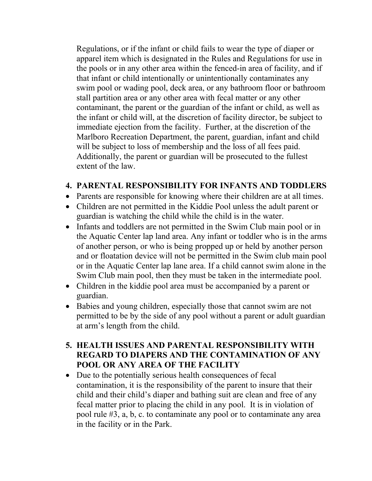Regulations, or if the infant or child fails to wear the type of diaper or apparel item which is designated in the Rules and Regulations for use in the pools or in any other area within the fenced-in area of facility, and if that infant or child intentionally or unintentionally contaminates any swim pool or wading pool, deck area, or any bathroom floor or bathroom stall partition area or any other area with fecal matter or any other contaminant, the parent or the guardian of the infant or child, as well as the infant or child will, at the discretion of facility director, be subject to immediate ejection from the facility. Further, at the discretion of the Marlboro Recreation Department, the parent, guardian, infant and child will be subject to loss of membership and the loss of all fees paid. Additionally, the parent or guardian will be prosecuted to the fullest extent of the law.

#### **4. PARENTAL RESPONSIBILITY FOR INFANTS AND TODDLERS**

- Parents are responsible for knowing where their children are at all times.
- Children are not permitted in the Kiddie Pool unless the adult parent or guardian is watching the child while the child is in the water.
- Infants and toddlers are not permitted in the Swim Club main pool or in the Aquatic Center lap land area. Any infant or toddler who is in the arms of another person, or who is being propped up or held by another person and or floatation device will not be permitted in the Swim club main pool or in the Aquatic Center lap lane area. If a child cannot swim alone in the Swim Club main pool, then they must be taken in the intermediate pool.
- Children in the kiddie pool area must be accompanied by a parent or guardian.
- Babies and young children, especially those that cannot swim are not permitted to be by the side of any pool without a parent or adult guardian at arm's length from the child.
- **5. HEALTH ISSUES AND PARENTAL RESPONSIBILITY WITH REGARD TO DIAPERS AND THE CONTAMINATION OF ANY POOL OR ANY AREA OF THE FACILITY**
- Due to the potentially serious health consequences of fecal contamination, it is the responsibility of the parent to insure that their child and their child's diaper and bathing suit are clean and free of any fecal matter prior to placing the child in any pool. It is in violation of pool rule #3, a, b, c. to contaminate any pool or to contaminate any area in the facility or in the Park.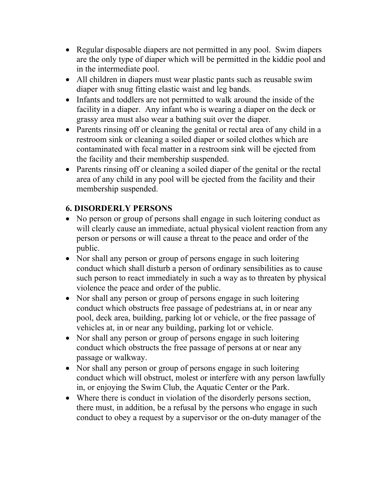- Regular disposable diapers are not permitted in any pool. Swim diapers are the only type of diaper which will be permitted in the kiddie pool and in the intermediate pool.
- All children in diapers must wear plastic pants such as reusable swim diaper with snug fitting elastic waist and leg bands.
- Infants and toddlers are not permitted to walk around the inside of the facility in a diaper. Any infant who is wearing a diaper on the deck or grassy area must also wear a bathing suit over the diaper.
- Parents rinsing off or cleaning the genital or rectal area of any child in a restroom sink or cleaning a soiled diaper or soiled clothes which are contaminated with fecal matter in a restroom sink will be ejected from the facility and their membership suspended.
- Parents rinsing off or cleaning a soiled diaper of the genital or the rectal area of any child in any pool will be ejected from the facility and their membership suspended.

## **6. DISORDERLY PERSONS**

- No person or group of persons shall engage in such loitering conduct as will clearly cause an immediate, actual physical violent reaction from any person or persons or will cause a threat to the peace and order of the public.
- Nor shall any person or group of persons engage in such loitering conduct which shall disturb a person of ordinary sensibilities as to cause such person to react immediately in such a way as to threaten by physical violence the peace and order of the public.
- Nor shall any person or group of persons engage in such loitering conduct which obstructs free passage of pedestrians at, in or near any pool, deck area, building, parking lot or vehicle, or the free passage of vehicles at, in or near any building, parking lot or vehicle.
- Nor shall any person or group of persons engage in such loitering conduct which obstructs the free passage of persons at or near any passage or walkway.
- Nor shall any person or group of persons engage in such loitering conduct which will obstruct, molest or interfere with any person lawfully in, or enjoying the Swim Club, the Aquatic Center or the Park.
- Where there is conduct in violation of the disorderly persons section, there must, in addition, be a refusal by the persons who engage in such conduct to obey a request by a supervisor or the on-duty manager of the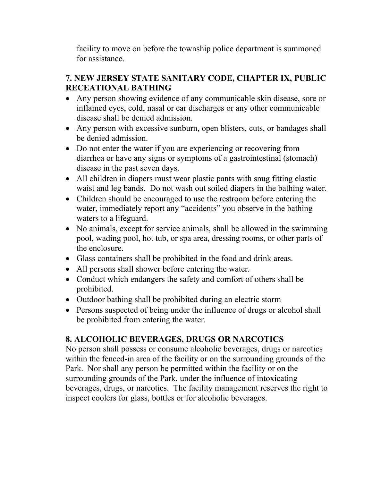facility to move on before the township police department is summoned for assistance.

### **7. NEW JERSEY STATE SANITARY CODE, CHAPTER IX, PUBLIC RECEATIONAL BATHING**

- Any person showing evidence of any communicable skin disease, sore or inflamed eyes, cold, nasal or ear discharges or any other communicable disease shall be denied admission.
- Any person with excessive sunburn, open blisters, cuts, or bandages shall be denied admission.
- Do not enter the water if you are experiencing or recovering from diarrhea or have any signs or symptoms of a gastrointestinal (stomach) disease in the past seven days.
- All children in diapers must wear plastic pants with snug fitting elastic waist and leg bands. Do not wash out soiled diapers in the bathing water.
- Children should be encouraged to use the restroom before entering the water, immediately report any "accidents" you observe in the bathing waters to a lifeguard.
- No animals, except for service animals, shall be allowed in the swimming pool, wading pool, hot tub, or spa area, dressing rooms, or other parts of the enclosure.
- Glass containers shall be prohibited in the food and drink areas.
- All persons shall shower before entering the water.
- Conduct which endangers the safety and comfort of others shall be prohibited.
- Outdoor bathing shall be prohibited during an electric storm
- Persons suspected of being under the influence of drugs or alcohol shall be prohibited from entering the water.

# **8. ALCOHOLIC BEVERAGES, DRUGS OR NARCOTICS**

No person shall possess or consume alcoholic beverages, drugs or narcotics within the fenced-in area of the facility or on the surrounding grounds of the Park. Nor shall any person be permitted within the facility or on the surrounding grounds of the Park, under the influence of intoxicating beverages, drugs, or narcotics. The facility management reserves the right to inspect coolers for glass, bottles or for alcoholic beverages.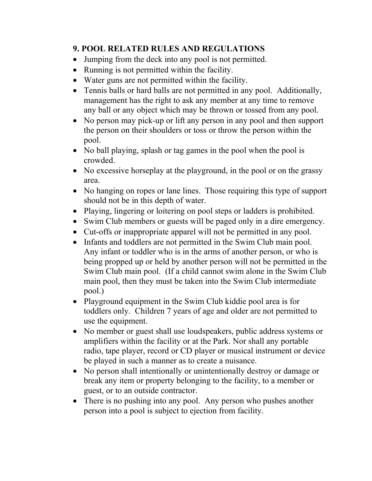### **9. POOL RELATED RULES AND REGULATIONS**

- Jumping from the deck into any pool is not permitted.
- Running is not permitted within the facility.
- Water guns are not permitted within the facility.
- Tennis balls or hard balls are not permitted in any pool.Additionally, management has the right to ask any member at any time to remove any ball or any object which may be thrown or tossed from any pool.
- No person may pick-up or lift any person in any pool and then support the person on their shoulders or toss or throw the person within the pool.
- No ball playing, splash or tag games in the pool when the pool is crowded.
- No excessive horseplay at the playground, in the pool or on the grassy area.
- No hanging on ropes or lane lines. Those requiring this type of support should not be in this depth of water.
- Playing, lingering or loitering on pool steps or ladders is prohibited.
- Swim Club members or guests will be paged only in a dire emergency.
- Cut-offs or inappropriate apparel will not be permitted in any pool.
- Infants and toddlers are not permitted in the Swim Club main pool. Any infant or toddler who is in the arms of another person, or who is being propped up or held by another person will not be permitted in the Swim Club main pool. (If a child cannot swim alone in the Swim Club main pool, then they must be taken into the Swim Club intermediate pool.)
- Playground equipment in the Swim Club kiddie pool area is for toddlers only. Children 7 years of age and older are not permitted to use the equipment.
- No member or guest shall use loudspeakers, public address systems or amplifiers within the facility or at the Park. Nor shall any portable radio, tape player, record or CD player or musical instrument or device be played in such a manner as to create a nuisance.
- No person shall intentionally or unintentionally destroy or damage or break any item or property belonging to the facility, to a member or guest, or to an outside contractor.
- There is no pushing into any pool. Any person who pushes another person into a pool is subject to ejection from facility.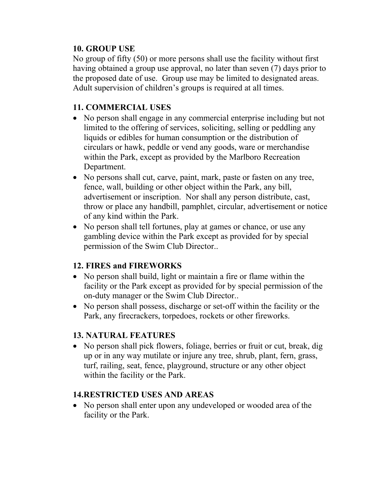#### **10. GROUP USE**

No group of fifty (50) or more persons shall use the facility without first having obtained a group use approval, no later than seven (7) days prior to the proposed date of use. Group use may be limited to designated areas. Adult supervision of children's groups is required at all times.

### **11. COMMERCIAL USES**

- No person shall engage in any commercial enterprise including but not limited to the offering of services, soliciting, selling or peddling any liquids or edibles for human consumption or the distribution of circulars or hawk, peddle or vend any goods, ware or merchandise within the Park, except as provided by the Marlboro Recreation Department.
- No persons shall cut, carve, paint, mark, paste or fasten on any tree, fence, wall, building or other object within the Park, any bill, advertisement or inscription. Nor shall any person distribute, cast, throw or place any handbill, pamphlet, circular, advertisement or notice of any kind within the Park.
- No person shall tell fortunes, play at games or chance, or use any gambling device within the Park except as provided for by special permission of the Swim Club Director..

#### **12. FIRES and FIREWORKS**

- No person shall build, light or maintain a fire or flame within the facility or the Park except as provided for by special permission of the on-duty manager or the Swim Club Director..
- No person shall possess, discharge or set-off within the facility or the Park, any firecrackers, torpedoes, rockets or other fireworks.

#### **13. NATURAL FEATURES**

• No person shall pick flowers, foliage, berries or fruit or cut, break, dig up or in any way mutilate or injure any tree, shrub, plant, fern, grass, turf, railing, seat, fence, playground, structure or any other object within the facility or the Park.

#### **14.RESTRICTED USES AND AREAS**

• No person shall enter upon any undeveloped or wooded area of the facility or the Park.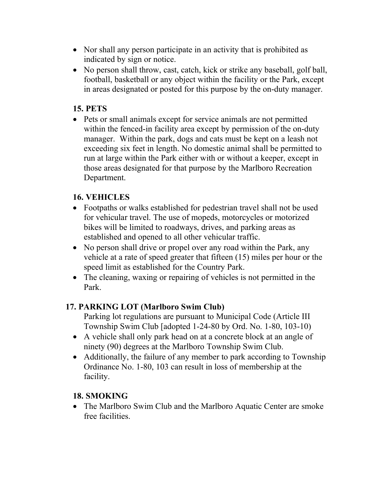- Nor shall any person participate in an activity that is prohibited as indicated by sign or notice.
- No person shall throw, cast, catch, kick or strike any baseball, golf ball, football, basketball or any object within the facility or the Park, except in areas designated or posted for this purpose by the on-duty manager.

### **15. PETS**

• Pets or small animals except for service animals are not permitted within the fenced-in facility area except by permission of the on-duty manager. Within the park, dogs and cats must be kept on a leash not exceeding six feet in length. No domestic animal shall be permitted to run at large within the Park either with or without a keeper, except in those areas designated for that purpose by the Marlboro Recreation Department.

## **16. VEHICLES**

- Footpaths or walks established for pedestrian travel shall not be used for vehicular travel. The use of mopeds, motorcycles or motorized bikes will be limited to roadways, drives, and parking areas as established and opened to all other vehicular traffic.
- No person shall drive or propel over any road within the Park, any vehicle at a rate of speed greater that fifteen (15) miles per hour or the speed limit as established for the Country Park.
- The cleaning, waxing or repairing of vehicles is not permitted in the Park.

## **17. PARKING LOT (Marlboro Swim Club)**

- Parking lot regulations are pursuant to Municipal Code (Article III Township Swim Club [adopted 1-24-80 by Ord. No. 1-80, 103-10)
- A vehicle shall only park head on at a concrete block at an angle of ninety (90) degrees at the Marlboro Township Swim Club.
- Additionally, the failure of any member to park according to Township Ordinance No. 1-80, 103 can result in loss of membership at the facility.

#### **18. SMOKING**

• The Marlboro Swim Club and the Marlboro Aquatic Center are smoke free facilities.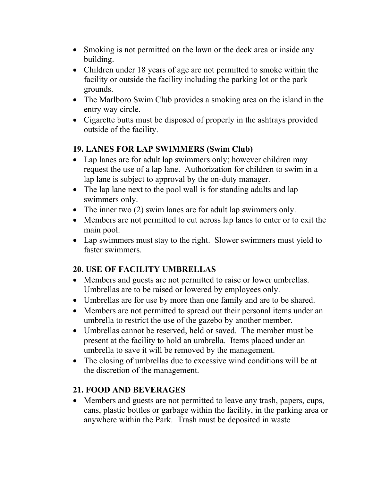- Smoking is not permitted on the lawn or the deck area or inside any building.
- Children under 18 years of age are not permitted to smoke within the facility or outside the facility including the parking lot or the park grounds.
- The Marlboro Swim Club provides a smoking area on the island in the entry way circle.
- Cigarette butts must be disposed of properly in the ashtrays provided outside of the facility.

#### **19. LANES FOR LAP SWIMMERS (Swim Club)**

- Lap lanes are for adult lap swimmers only; however children may request the use of a lap lane. Authorization for children to swim in a lap lane is subject to approval by the on-duty manager.
- The lap lane next to the pool wall is for standing adults and lap swimmers only.
- The inner two (2) swim lanes are for adult lap swimmers only.
- Members are not permitted to cut across lap lanes to enter or to exit the main pool.
- Lap swimmers must stay to the right. Slower swimmers must yield to faster swimmers.

## **20. USE OF FACILITY UMBRELLAS**

- Members and guests are not permitted to raise or lower umbrellas. Umbrellas are to be raised or lowered by employees only.
- Umbrellas are for use by more than one family and are to be shared.
- Members are not permitted to spread out their personal items under an umbrella to restrict the use of the gazebo by another member.
- Umbrellas cannot be reserved, held or saved. The member must be present at the facility to hold an umbrella. Items placed under an umbrella to save it will be removed by the management.
- The closing of umbrellas due to excessive wind conditions will be at the discretion of the management.

## **21. FOOD AND BEVERAGES**

• Members and guests are not permitted to leave any trash, papers, cups, cans, plastic bottles or garbage within the facility, in the parking area or anywhere within the Park. Trash must be deposited in waste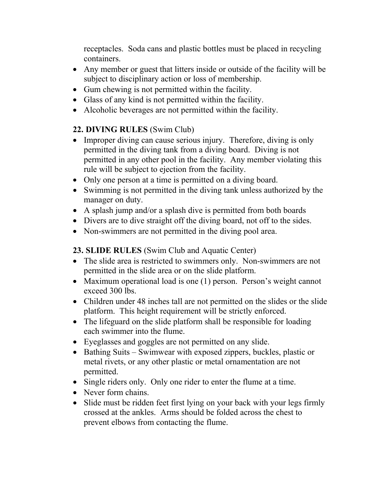receptacles. Soda cans and plastic bottles must be placed in recycling containers.

- Any member or guest that litters inside or outside of the facility will be subject to disciplinary action or loss of membership.
- Gum chewing is not permitted within the facility.
- Glass of any kind is not permitted within the facility.
- Alcoholic beverages are not permitted within the facility.

## **22. DIVING RULES** (Swim Club)

- Improper diving can cause serious injury. Therefore, diving is only permitted in the diving tank from a diving board. Diving is not permitted in any other pool in the facility. Any member violating this rule will be subject to ejection from the facility.
- Only one person at a time is permitted on a diving board.
- Swimming is not permitted in the diving tank unless authorized by the manager on duty.
- A splash jump and/or a splash dive is permitted from both boards
- Divers are to dive straight off the diving board, not off to the sides.
- Non-swimmers are not permitted in the diving pool area.

## **23. SLIDE RULES** (Swim Club and Aquatic Center)

- The slide area is restricted to swimmers only. Non-swimmers are not permitted in the slide area or on the slide platform.
- Maximum operational load is one (1) person. Person's weight cannot exceed 300 lbs.
- Children under 48 inches tall are not permitted on the slides or the slide platform. This height requirement will be strictly enforced.
- The lifeguard on the slide platform shall be responsible for loading each swimmer into the flume.
- Eyeglasses and goggles are not permitted on any slide.
- Bathing Suits Swimwear with exposed zippers, buckles, plastic or metal rivets, or any other plastic or metal ornamentation are not permitted.
- Single riders only. Only one rider to enter the flume at a time.
- Never form chains.
- Slide must be ridden feet first lying on your back with your legs firmly crossed at the ankles. Arms should be folded across the chest to prevent elbows from contacting the flume.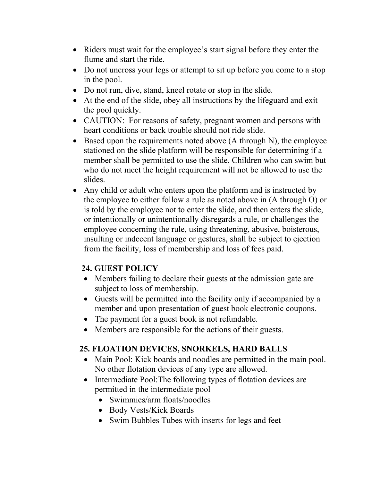- Riders must wait for the employee's start signal before they enter the flume and start the ride.
- Do not uncross your legs or attempt to sit up before you come to a stop in the pool.
- Do not run, dive, stand, kneel rotate or stop in the slide.
- At the end of the slide, obey all instructions by the lifeguard and exit the pool quickly.
- CAUTION: For reasons of safety, pregnant women and persons with heart conditions or back trouble should not ride slide.
- Based upon the requirements noted above (A through N), the employee stationed on the slide platform will be responsible for determining if a member shall be permitted to use the slide. Children who can swim but who do not meet the height requirement will not be allowed to use the slides.
- Any child or adult who enters upon the platform and is instructed by the employee to either follow a rule as noted above in (A through O) or is told by the employee not to enter the slide, and then enters the slide, or intentionally or unintentionally disregards a rule, or challenges the employee concerning the rule, using threatening, abusive, boisterous, insulting or indecent language or gestures, shall be subject to ejection from the facility, loss of membership and loss of fees paid.

## **24. GUEST POLICY**

- Members failing to declare their guests at the admission gate are subject to loss of membership.
- Guests will be permitted into the facility only if accompanied by a member and upon presentation of guest book electronic coupons.
- The payment for a guest book is not refundable.
- Members are responsible for the actions of their guests.

## **25. FLOATION DEVICES, SNORKELS, HARD BALLS**

- Main Pool: Kick boards and noodles are permitted in the main pool. No other flotation devices of any type are allowed.
- Intermediate Pool: The following types of flotation devices are permitted in the intermediate pool
	- Swimmies/arm floats/noodles
	- Body Vests/Kick Boards
	- Swim Bubbles Tubes with inserts for legs and feet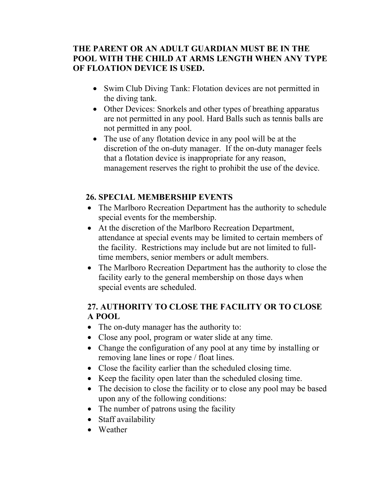### **THE PARENT OR AN ADULT GUARDIAN MUST BE IN THE POOL WITH THE CHILD AT ARMS LENGTH WHEN ANY TYPE OF FLOATION DEVICE IS USED.**

- Swim Club Diving Tank: Flotation devices are not permitted in the diving tank.
- Other Devices: Snorkels and other types of breathing apparatus are not permitted in any pool. Hard Balls such as tennis balls are not permitted in any pool.
- The use of any flotation device in any pool will be at the discretion of the on-duty manager. If the on-duty manager feels that a flotation device is inappropriate for any reason, management reserves the right to prohibit the use of the device.

### **26. SPECIAL MEMBERSHIP EVENTS**

- The Marlboro Recreation Department has the authority to schedule special events for the membership.
- At the discretion of the Marlboro Recreation Department, attendance at special events may be limited to certain members of the facility. Restrictions may include but are not limited to fulltime members, senior members or adult members.
- The Marlboro Recreation Department has the authority to close the facility early to the general membership on those days when special events are scheduled.

### **27. AUTHORITY TO CLOSE THE FACILITY OR TO CLOSE A POOL**

- The on-duty manager has the authority to:
- Close any pool, program or water slide at any time.
- Change the configuration of any pool at any time by installing or removing lane lines or rope / float lines.
- Close the facility earlier than the scheduled closing time.
- Keep the facility open later than the scheduled closing time.
- The decision to close the facility or to close any pool may be based upon any of the following conditions:
- The number of patrons using the facility
- Staff availability
- Weather